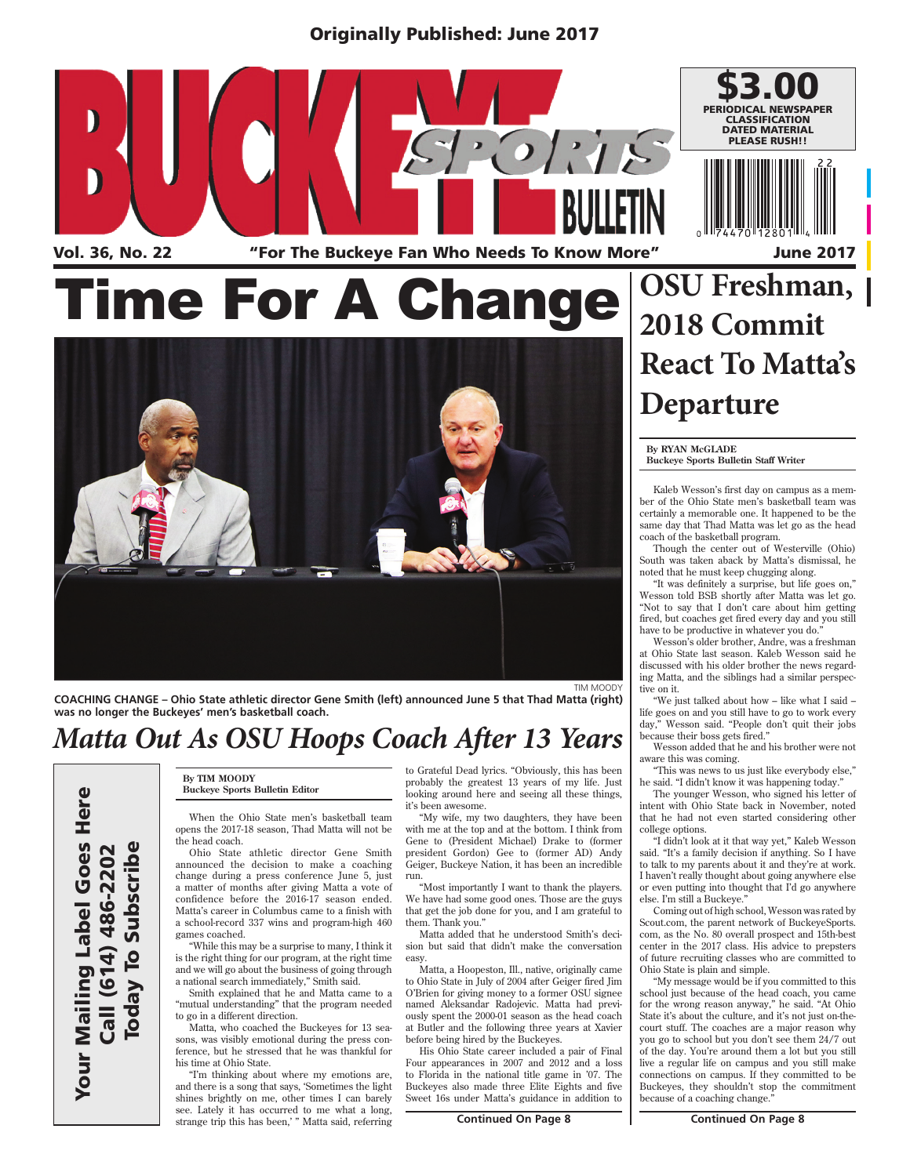### Originally Published: June 2017





**COACHING CHANGE – Ohio State athletic director Gene Smith (left) announced June 5 that Thad Matta (right) was no longer the Buckeyes' men's basketball coach.**

### *Matta Out As OSU Hoops Coach After 13 Years*

Your Mailing Label Goes Here<br>Call (614) 486-2202<br>Today To Subscribe

**By TIM MOODY Buckeye Sports Bulletin Editor**

When the Ohio State men's basketball team opens the 2017-18 season, Thad Matta will not be the head coach.

Ohio State athletic director Gene Smith announced the decision to make a coaching change during a press conference June 5, just a matter of months after giving Matta a vote of confidence before the 2016-17 season ended. Matta's career in Columbus came to a finish with a school-record 337 wins and program-high 460 games coached.

"While this may be a surprise to many, I think it is the right thing for our program, at the right time and we will go about the business of going through a national search immediately," Smith said.

Smith explained that he and Matta came to a "mutual understanding" that the program needed to go in a different direction.

Matta, who coached the Buckeyes for 13 seasons, was visibly emotional during the press conference, but he stressed that he was thankful for his time at Ohio State.

"I'm thinking about where my emotions are, and there is a song that says, 'Sometimes the light shines brightly on me, other times I can barely see. Lately it has occurred to me what a long, strange trip this has been,' " Matta said, referring to Grateful Dead lyrics. "Obviously, this has been probably the greatest 13 years of my life. Just looking around here and seeing all these things, it's been awesome.

"My wife, my two daughters, they have been with me at the top and at the bottom. I think from Gene to (President Michael) Drake to (former president Gordon) Gee to (former AD) Andy Geiger, Buckeye Nation, it has been an incredible run.

"Most importantly I want to thank the players. We have had some good ones. Those are the guys that get the job done for you, and I am grateful to them. Thank you."

Matta added that he understood Smith's decision but said that didn't make the conversation easy.

Matta, a Hoopeston, Ill., native, originally came to Ohio State in July of 2004 after Geiger fired Jim O'Brien for giving money to a former OSU signee named Aleksandar Radojevic. Matta had previously spent the 2000-01 season as the head coach at Butler and the following three years at Xavier before being hired by the Buckeyes.

His Ohio State career included a pair of Final Four appearances in 2007 and 2012 and a loss to Florida in the national title game in '07. The Buckeyes also made three Elite Eights and five Sweet 16s under Matta's guidance in addition to

# **React To Matta's Departure**

**By RYAN McGLADE Buckeye Sports Bulletin Staff Writer**

Kaleb Wesson's first day on campus as a member of the Ohio State men's basketball team was certainly a memorable one. It happened to be the same day that Thad Matta was let go as the head coach of the basketball program.

Though the center out of Westerville (Ohio) South was taken aback by Matta's dismissal, he noted that he must keep chugging along.

"It was definitely a surprise, but life goes on," Wesson told BSB shortly after Matta was let go. "Not to say that I don't care about him getting fired, but coaches get fired every day and you still have to be productive in whatever you do.

Wesson's older brother, Andre, was a freshman at Ohio State last season. Kaleb Wesson said he discussed with his older brother the news regarding Matta, and the siblings had a similar perspective on it.

"We just talked about how – like what I said – life goes on and you still have to go to work every day," Wesson said. "People don't quit their jobs because their boss gets fired."

Wesson added that he and his brother were not aware this was coming.

"This was news to us just like everybody else," he said. "I didn't know it was happening today."

The younger Wesson, who signed his letter of intent with Ohio State back in November, noted that he had not even started considering other college options.

"I didn't look at it that way yet," Kaleb Wesson said. "It's a family decision if anything. So I have to talk to my parents about it and they're at work. I haven't really thought about going anywhere else or even putting into thought that I'd go anywhere else. I'm still a Buckeve.

Coming out of high school, Wesson was rated by Scout.com, the parent network of BuckeyeSports. com, as the No. 80 overall prospect and 15th-best center in the 2017 class. His advice to prepsters of future recruiting classes who are committed to Ohio State is plain and simple.

"My message would be if you committed to this school just because of the head coach, you came for the wrong reason anyway," he said. "At Ohio State it's about the culture, and it's not just on-thecourt stuff. The coaches are a major reason why you go to school but you don't see them 24/7 out of the day. You're around them a lot but you still live a regular life on campus and you still make connections on campus. If they committed to be Buckeyes, they shouldn't stop the commitment because of a coaching change."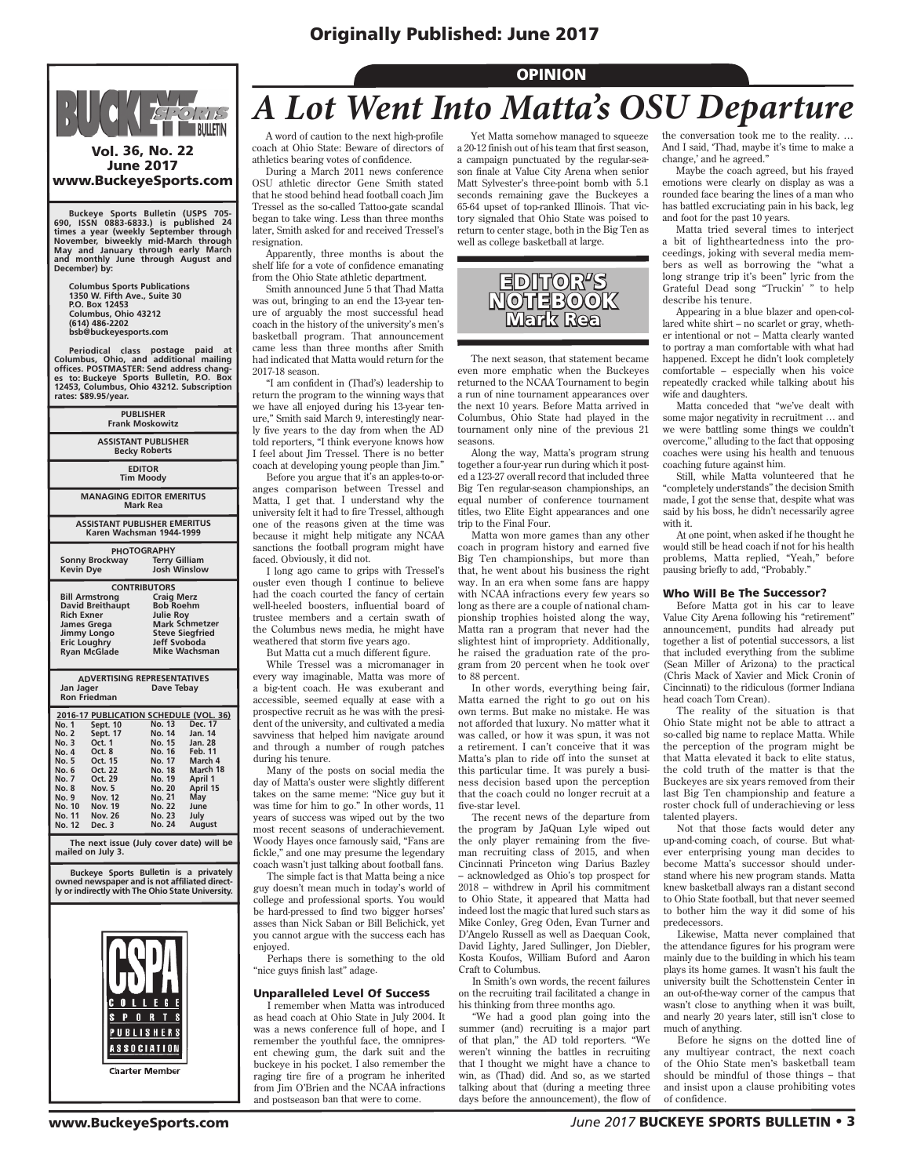### Originally Published: June 2017



Vol. 36, No. 22 June 2017 www.BuckeyeSports.com

Buckeye Sports Bulletin (USPS 705-<br>690, ISSN 0883-6833.) is published 24<br>times a year (weekly September through<br>November, biweekly mid-March through<br>May and January through early March<br>and monthly June through August and **December) by:**

**Columbus Sports Publications 1350 W. Fifth Ave., Suite 30 P.O. Box 12453 Columbus, Ohio 43212 (614) 486-2202 bsb@buckeyesports.com**

**Periodical class postage paid at Columbus, Ohio, and additional mailing offices. POSTMASTER: Send address changes to: Buckeye Sports Bulletin, P.O. Box 12453, Columbus, Ohio 43212. Subscription rates: \$89.95/year.**

| <b>PUBLISHER</b><br><b>Frank Moskowitz</b>                                                                                                               |                                                                                                                                                                             |  |  |
|----------------------------------------------------------------------------------------------------------------------------------------------------------|-----------------------------------------------------------------------------------------------------------------------------------------------------------------------------|--|--|
| <b>ASSISTANT PUBLISHER</b><br><b>Becky Roberts</b>                                                                                                       |                                                                                                                                                                             |  |  |
| <b>EDITOR</b><br><b>Tim Moody</b>                                                                                                                        |                                                                                                                                                                             |  |  |
| <b>MANAGING EDITOR EMERITUS</b><br><b>Mark Rea</b>                                                                                                       |                                                                                                                                                                             |  |  |
| <b>ASSISTANT PUBLISHER EMERITUS</b><br>Karen Wachsman 1944-1999                                                                                          |                                                                                                                                                                             |  |  |
| <b>Sonny Brockway</b><br><b>Kevin Dye</b>                                                                                                                | <b>PHOTOGRAPHY</b><br><b>Terry Gilliam</b><br>Josh Winslow                                                                                                                  |  |  |
| <b>Bill Armstrong</b><br><b>David Breithaupt</b><br><b>Rich Exner</b><br><b>James Grega</b><br>Jimmy Longo<br><b>Eric Loughry</b><br><b>Ryan McGlade</b> | <b>CONTRIBUTORS</b><br><b>Craig Merz</b><br><b>Bob Roehm</b><br><b>Julie Roy</b><br><b>Mark Schmetzer</b><br><b>Steve Siegfried</b><br>Jeff Svoboda<br><b>Mike Wachsman</b> |  |  |
| <b>ADVERTISING REPRESENTATIVES</b><br>Jan Jager<br>Dave Tebay<br><b>Ron Friedman</b>                                                                     |                                                                                                                                                                             |  |  |
| Sept. 10<br>No. 1<br>Sept. 17<br><b>No. 2</b><br>Oct. 1<br>No. 3                                                                                         | 2016-17 PUBLICATION SCHEDULE (VOL. 36)<br>No. 13 Dec. 17<br>No. 14 Jan. 14<br>No. 15 Jan. 28                                                                                |  |  |

| <b>No. 3</b> | Oct. 1         | No. 15        | Jan. 28        |
|--------------|----------------|---------------|----------------|
| No. 4        | Oct. 8         | No. 16        | <b>Feb. 11</b> |
| No. 5        | Oct. 15        | No. 17        | March 4        |
| No. 6        | Oct. 22        | No. 18        | March 18       |
| <b>No. 7</b> | Oct. 29        | No. 19        | April 1        |
| No. 8        | <b>Nov. 5</b>  | No. 20        | April 15       |
| No. 9        | Nov. 12        | No. 21        | May            |
| No. 10       | <b>Nov. 19</b> | <b>No. 22</b> | June           |
| No. 11       | <b>Nov. 26</b> | No. 23        | July           |
| No. 12       | Dec. 3         | No. 24        | <b>August</b>  |
|              |                |               |                |

 **The next issue (July cover date) will be mailed on July 3.**

 **Buckeye Sports Bulletin is a privately owned newspaper and is not affiliated direct-ly or indirectly with The Ohio State University.**



# *A Lot Went Into Matta's OSU Departure*

**OPINION** 

A word of caution to the next high-profile coach at Ohio State: Beware of directors of athletics bearing votes of confidence.

During a March 2011 news conference OSU athletic director Gene Smith stated that he stood behind head football coach Jim Tressel as the so-called Tattoo-gate scandal began to take wing. Less than three months later, Smith asked for and received Tressel's resignation.

Apparently, three months is about the shelf life for a vote of confidence emanating from the Ohio State athletic department.

Smith announced June 5 that Thad Matta was out, bringing to an end the 13-year tenure of arguably the most successful head coach in the history of the university's men's basketball program. That announcement came less than three months after Smith had indicated that Matta would return for the 2017-18 season.

"I am confident in (Thad's) leadership to return the program to the winning ways that we have all enjoyed during his 13-year tenure," Smith said March 9, interestingly nearly five years to the day from when the AD told reporters, "I think everyone knows how I feel about Jim Tressel. There is no better coach at developing young people than Jim."

Before you argue that it's an apples-to-oranges comparison between Tressel and Matta, I get that. I understand why the university felt it had to fire Tressel, although one of the reasons given at the time was because it might help mitigate any NCAA sanctions the football program might have faced. Obviously, it did not.

I long ago came to grips with Tressel's ouster even though I continue to believe had the coach courted the fancy of certain well-heeled boosters, influential board of trustee members and a certain swath of the Columbus news media, he might have weathered that storm five years ago.

But Matta cut a much different figure.

While Tressel was a micromanager in every way imaginable, Matta was more of a big-tent coach. He was exuberant and accessible, seemed equally at ease with a prospective recruit as he was with the president of the university, and cultivated a media savviness that helped him navigate around and through a number of rough patches during his tenure.

Many of the posts on social media the day of Matta's ouster were slightly different takes on the same meme: "Nice guy but it was time for him to go." In other words, 11 years of success was wiped out by the two most recent seasons of underachievement. Woody Hayes once famously said, "Fans are fickle," and one may presume the legendary coach wasn't just talking about football fans.

The simple fact is that Matta being a nice guy doesn't mean much in today's world of college and professional sports. You would be hard-pressed to find two bigger horses' asses than Nick Saban or Bill Belichick, yet you cannot argue with the success each has enjoyed.

Perhaps there is something to the old "nice guys finish last" adage.

#### Unparalleled Level Of Success

I remember when Matta was introduced as head coach at Ohio State in July 2004. It was a news conference full of hope, and I remember the youthful face, the omnipresent chewing gum, the dark suit and the buckeye in his pocket. I also remember the raging tire fire of a program he inherited from Jim O'Brien and the NCAA infractions and postseason ban that were to come.

Yet Matta somehow managed to squeeze a 20-12 finish out of his team that first season, a campaign punctuated by the regular-season finale at Value City Arena when senior Matt Sylvester's three-point bomb with 5.1 seconds remaining gave the Buckeyes a 65-64 upset of top-ranked Illinois. That victory signaled that Ohio State was poised to return to center stage, both in the Big Ten as well as college basketball at large.



The next season, that statement became even more emphatic when the Buckeyes returned to the NCAA Tournament to begin a run of nine tournament appearances over the next 10 years. Before Matta arrived in Columbus, Ohio State had played in the tournament only nine of the previous 21 seasons.

Along the way, Matta's program strung together a four-year run during which it posted a 123-27 overall record that included three Big Ten regular-season championships, an equal number of conference tournament titles, two Elite Eight appearances and one trip to the Final Four.

Matta won more games than any other coach in program history and earned five Big Ten championships, but more than that, he went about his business the right way. In an era when some fans are happy with NCAA infractions every few years so long as there are a couple of national championship trophies hoisted along the way, Matta ran a program that never had the slightest hint of impropriety. Additionally, he raised the graduation rate of the program from 20 percent when he took over to 88 percent.

In other words, everything being fair, Matta earned the right to go out on his own terms. But make no mistake. He was not afforded that luxury. No matter what it was called, or how it was spun, it was not a retirement. I can't conceive that it was Matta's plan to ride off into the sunset at this particular time. It was purely a business decision based upon the perception that the coach could no longer recruit at a five-star level.

The recent news of the departure from the program by JaQuan Lyle wiped out the only player remaining from the fiveman recruiting class of 2015, and when Cincinnati Princeton wing Darius Bazley – acknowledged as Ohio's top prospect for 2018 – withdrew in April his commitment to Ohio State, it appeared that Matta had indeed lost the magic that lured such stars as Mike Conley, Greg Oden, Evan Turner and D'Angelo Russell as well as Daequan Cook, David Lighty, Jared Sullinger, Jon Diebler, Kosta Koufos, William Buford and Aaron Craft to Columbus.

In Smith's own words, the recent failures on the recruiting trail facilitated a change in his thinking from three months ago.

"We had a good plan going into the summer (and) recruiting is a major part of that plan," the AD told reporters. "We weren't winning the battles in recruiting that I thought we might have a chance to win, as (Thad) did. And so, as we started talking about that (during a meeting three days before the announcement), the flow of

the conversation took me to the reality. … And I said, 'Thad, maybe it's time to make a change,' and he agreed."

Maybe the coach agreed, but his frayed emotions were clearly on display as was a rounded face bearing the lines of a man who has battled excruciating pain in his back, leg and foot for the past 10 years.

Matta tried several times to interject a bit of lightheartedness into the proceedings, joking with several media members as well as borrowing the "what a long strange trip it's been" lyric from the Grateful Dead song "Truckin' " to help describe his tenure.

Appearing in a blue blazer and open-collared white shirt – no scarlet or gray, wheth-er intentional or not – Matta clearly wanted to portray a man comfortable with what had happened. Except he didn't look completely comfortable – especially when his voice repeatedly cracked while talking about his wife and daughters.

Matta conceded that "we've dealt with some major negativity in recruitment … and we were battling some things we couldn't overcome," alluding to the fact that opposing coaches were using his health and tenuous coaching future against him.

Still, while Matta volunteered that he "completely understands" the decision Smith made, I got the sense that, despite what was said by his boss, he didn't necessarily agree with it.

At one point, when asked if he thought he would still be head coach if not for his health problems, Matta replied, "Yeah," before pausing briefly to add, "Probably."

#### Who Will Be The Successor?

Before Matta got in his car to leave Value City Arena following his "retirement" announcement, pundits had already put together a list of potential successors, a list that included everything from the sublime (Sean Miller of Arizona) to the practical (Chris Mack of Xavier and Mick Cronin of Cincinnati) to the ridiculous (former Indiana head coach Tom Crean).

The reality of the situation is that Ohio State might not be able to attract a so-called big name to replace Matta. While the perception of the program might be that Matta elevated it back to elite status, the cold truth of the matter is that the Buckeyes are six years removed from their last Big Ten championship and feature a roster chock full of underachieving or less talented players.

Not that those facts would deter any up-and-coming coach, of course. But whatever enterprising young man decides to become Matta's successor should understand where his new program stands. Matta knew basketball always ran a distant second to Ohio State football, but that never seemed to bother him the way it did some of his predecessors.

Likewise, Matta never complained that the attendance figures for his program were mainly due to the building in which his team plays its home games. It wasn't his fault the university built the Schottenstein Center in an out-of-the-way corner of the campus that wasn't close to anything when it was built, and nearly 20 years later, still isn't close to much of anything.

Before he signs on the dotted line of any multiyear contract, the next coach of the Ohio State men's basketball team should be mindful of those things – that and insist upon a clause prohibiting votes of confidence.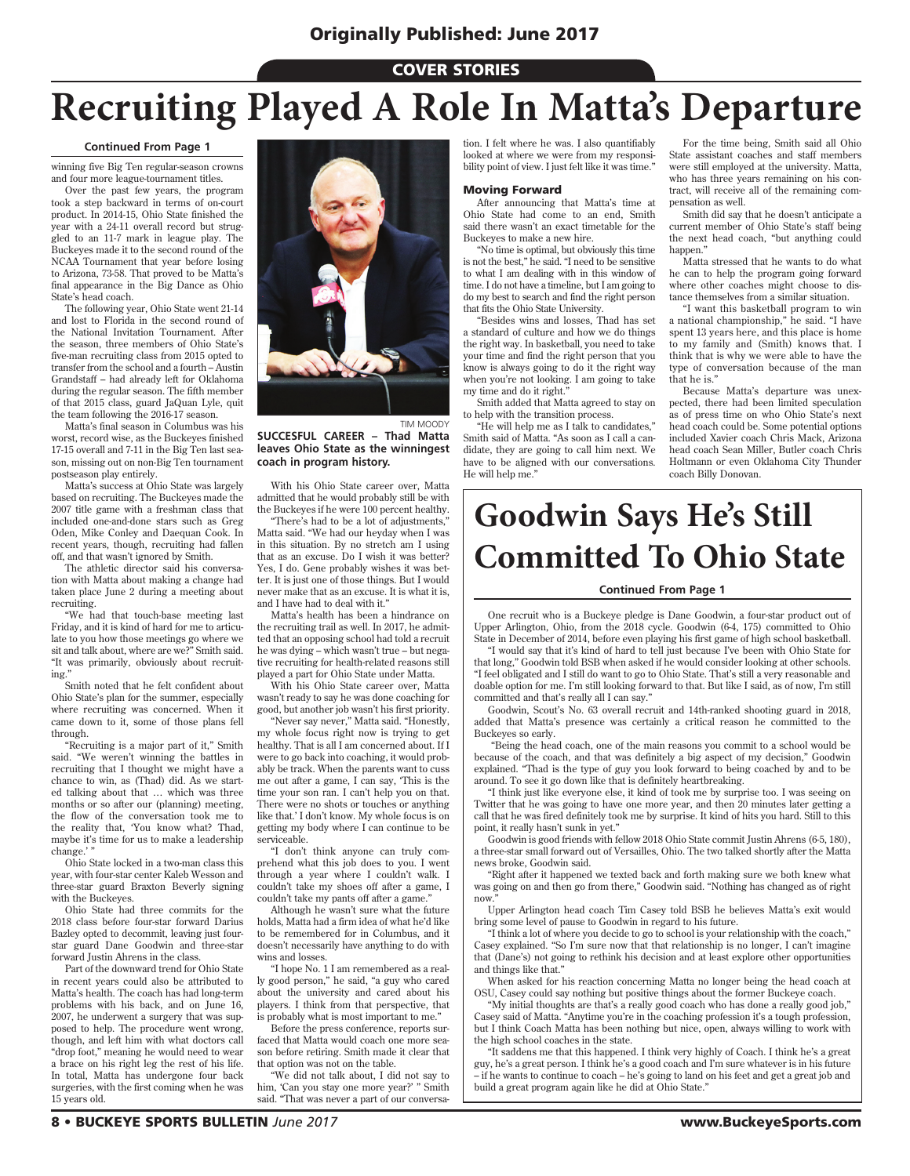#### COVER STORIES

# **Recruiting Played A Role In Matta's Departure**

#### **Continued From Page 1**

winning five Big Ten regular-season crowns and four more league-tournament titles.

Over the past few years, the program took a step backward in terms of on-court product. In 2014-15, Ohio State finished the year with a 24-11 overall record but struggled to an 11-7 mark in league play. The Buckeyes made it to the second round of the NCAA Tournament that year before losing to Arizona, 73-58. That proved to be Matta's final appearance in the Big Dance as Ohio State's head coach.

The following year, Ohio State went 21-14 and lost to Florida in the second round of the National Invitation Tournament. After the season, three members of Ohio State's five-man recruiting class from 2015 opted to transfer from the school and a fourth – Austin Grandstaff – had already left for Oklahoma during the regular season. The fifth member of that 2015 class, guard JaQuan Lyle, quit the team following the 2016-17 season.

Matta's final season in Columbus was his worst, record wise, as the Buckeyes finished 17-15 overall and 7-11 in the Big Ten last season, missing out on non-Big Ten tournament postseason play entirely.

Matta's success at Ohio State was largely based on recruiting. The Buckeyes made the 2007 title game with a freshman class that included one-and-done stars such as Greg Oden, Mike Conley and Daequan Cook. In recent years, though, recruiting had fallen off, and that wasn't ignored by Smith.

The athletic director said his conversation with Matta about making a change had taken place June 2 during a meeting about recruiting.

"We had that touch-base meeting last Friday, and it is kind of hard for me to articulate to you how those meetings go where we sit and talk about, where are we?" Smith said. "It was primarily, obviously about recruiting."

Smith noted that he felt confident about Ohio State's plan for the summer, especially where recruiting was concerned. When it came down to it, some of those plans fell through.

"Recruiting is a major part of it," Smith said. "We weren't winning the battles in recruiting that I thought we might have a chance to win, as (Thad) did. As we started talking about that … which was three months or so after our (planning) meeting, the flow of the conversation took me to the reality that, 'You know what? Thad, maybe it's time for us to make a leadership change.''

Ohio State locked in a two-man class this year, with four-star center Kaleb Wesson and three-star guard Braxton Beverly signing with the Buckeyes.

Ohio State had three commits for the 2018 class before four-star forward Darius Bazley opted to decommit, leaving just fourstar guard Dane Goodwin and three-star forward Justin Ahrens in the class.

Part of the downward trend for Ohio State in recent years could also be attributed to Matta's health. The coach has had long-term problems with his back, and on June 16, 2007, he underwent a surgery that was supposed to help. The procedure went wrong, though, and left him with what doctors call "drop foot," meaning he would need to wear a brace on his right leg the rest of his life. In total, Matta has undergone four back surgeries, with the first coming when he was 15 years old.



TIM MOODY

**SUCCESFUL CAREER – Thad Matta leaves Ohio State as the winningest coach in program history.**

With his Ohio State career over, Matta admitted that he would probably still be with the Buckeyes if he were 100 percent healthy. "There's had to be a lot of adjustments,"

Matta said. "We had our heyday when I was in this situation. By no stretch am I using that as an excuse. Do I wish it was better? Yes, I do. Gene probably wishes it was better. It is just one of those things. But I would never make that as an excuse. It is what it is, and I have had to deal with it."

Matta's health has been a hindrance on the recruiting trail as well. In 2017, he admitted that an opposing school had told a recruit he was dying – which wasn't true – but negative recruiting for health-related reasons still played a part for Ohio State under Matta.

With his Ohio State career over, Matta wasn't ready to say he was done coaching for good, but another job wasn't his first priority.

Never say never," Matta said. "Honestly, my whole focus right now is trying to get healthy. That is all I am concerned about. If I were to go back into coaching, it would probably be track. When the parents want to cuss me out after a game, I can say, 'This is the time your son ran. I can't help you on that. There were no shots or touches or anything like that.' I don't know. My whole focus is on getting my body where I can continue to be serviceable.

"I don't think anyone can truly comprehend what this job does to you. I went through a year where I couldn't walk. I couldn't take my shoes off after a game, I couldn't take my pants off after a game."

Although he wasn't sure what the future holds, Matta had a firm idea of what he'd like to be remembered for in Columbus, and it doesn't necessarily have anything to do with wins and losses.

"I hope No. 1 I am remembered as a really good person," he said, "a guy who cared about the university and cared about his players. I think from that perspective, that is probably what is most important to me."

Before the press conference, reports surfaced that Matta would coach one more season before retiring. Smith made it clear that that option was not on the table.

"We did not talk about, I did not say to him, 'Can you stay one more year?' " Smith said. "That was never a part of our conversation. I felt where he was. I also quantifiably looked at where we were from my responsibility point of view. I just felt like it was time."

#### Moving Forward

After announcing that Matta's time at Ohio State had come to an end, Smith said there wasn't an exact timetable for the Buckeyes to make a new hire.

"No time is optimal, but obviously this time is not the best," he said. "I need to be sensitive to what I am dealing with in this window of time. I do not have a timeline, but I am going to do my best to search and find the right person that fits the Ohio State University.

"Besides wins and losses, Thad has set a standard of culture and how we do things the right way. In basketball, you need to take your time and find the right person that you know is always going to do it the right way when you're not looking. I am going to take my time and do it right.

Smith added that Matta agreed to stay on to help with the transition process.

"He will help me as I talk to candidates," Smith said of Matta. "As soon as I call a candidate, they are going to call him next. We have to be aligned with our conversations. He will help me."

For the time being, Smith said all Ohio State assistant coaches and staff members were still employed at the university. Matta, who has three years remaining on his contract, will receive all of the remaining compensation as well.

Smith did say that he doesn't anticipate a current member of Ohio State's staff being the next head coach, "but anything could happen."

Matta stressed that he wants to do what he can to help the program going forward where other coaches might choose to distance themselves from a similar situation.

"I want this basketball program to win a national championship," he said. "I have spent 13 years here, and this place is home to my family and (Smith) knows that. I think that is why we were able to have the type of conversation because of the man that he is."

Because Matta's departure was unexpected, there had been limited speculation as of press time on who Ohio State's next head coach could be. Some potential options included Xavier coach Chris Mack, Arizona head coach Sean Miller, Butler coach Chris Holtmann or even Oklahoma City Thunder coach Billy Donovan.

## **Goodwin Says He's Still Committed To Ohio State**

#### **Continued From Page 1**

One recruit who is a Buckeye pledge is Dane Goodwin, a four-star product out of Upper Arlington, Ohio, from the 2018 cycle. Goodwin (6-4, 175) committed to Ohio State in December of 2014, before even playing his first game of high school basketball.

"I would say that it's kind of hard to tell just because I've been with Ohio State for that long," Goodwin told BSB when asked if he would consider looking at other schools. "I feel obligated and I still do want to go to Ohio State. That's still a very reasonable and doable option for me. I'm still looking forward to that. But like I said, as of now, I'm still committed and that's really all I can say."

Goodwin, Scout's No. 63 overall recruit and 14th-ranked shooting guard in 2018, added that Matta's presence was certainly a critical reason he committed to the Buckeyes so early.

 "Being the head coach, one of the main reasons you commit to a school would be because of the coach, and that was definitely a big aspect of my decision," Goodwin explained. "Thad is the type of guy you look forward to being coached by and to be around. To see it go down like that is definitely heartbreaking.

"I think just like everyone else, it kind of took me by surprise too. I was seeing on Twitter that he was going to have one more year, and then 20 minutes later getting a call that he was fired definitely took me by surprise. It kind of hits you hard. Still to this point, it really hasn't sunk in yet."

Goodwin is good friends with fellow 2018 Ohio State commit Justin Ahrens (6-5, 180), a three-star small forward out of Versailles, Ohio. The two talked shortly after the Matta news broke, Goodwin said.

"Right after it happened we texted back and forth making sure we both knew what was going on and then go from there," Goodwin said. "Nothing has changed as of right now."

Upper Arlington head coach Tim Casey told BSB he believes Matta's exit would bring some level of pause to Goodwin in regard to his future.

"I think a lot of where you decide to go to school is your relationship with the coach," Casey explained. "So I'm sure now that that relationship is no longer, I can't imagine that (Dane's) not going to rethink his decision and at least explore other opportunities and things like that."

When asked for his reaction concerning Matta no longer being the head coach at OSU, Casey could say nothing but positive things about the former Buckeye coach.

"My initial thoughts are that's a really good coach who has done a really good job," Casey said of Matta. "Anytime you're in the coaching profession it's a tough profession, but I think Coach Matta has been nothing but nice, open, always willing to work with the high school coaches in the state.

"It saddens me that this happened. I think very highly of Coach. I think he's a great guy, he's a great person. I think he's a good coach and I'm sure whatever is in his future – if he wants to continue to coach – he's going to land on his feet and get a great job and build a great program again like he did at Ohio State."